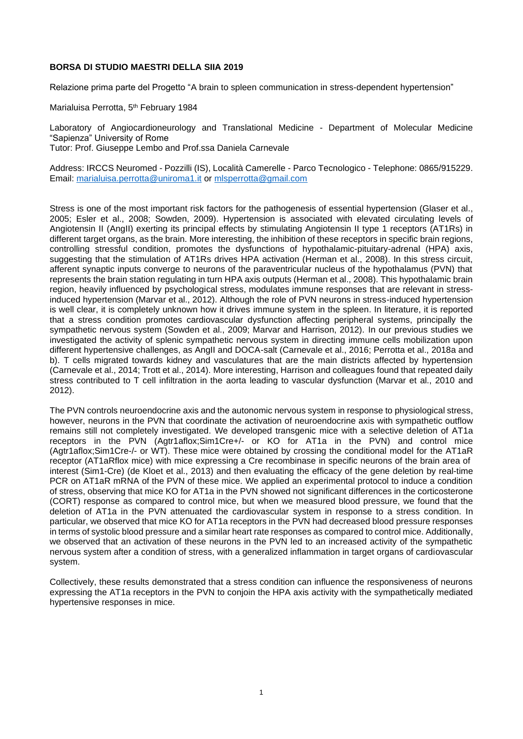## **BORSA DI STUDIO MAESTRI DELLA SIIA 2019**

Relazione prima parte del Progetto "A brain to spleen communication in stress-dependent hypertension"

Marialuisa Perrotta, 5<sup>th</sup> February 1984

Laboratory of Angiocardioneurology and Translational Medicine - Department of Molecular Medicine "Sapienza" University of Rome

Tutor: Prof. Giuseppe Lembo and Prof.ssa Daniela Carnevale

Address: IRCCS Neuromed - Pozzilli (IS), Località Camerelle - Parco Tecnologico - Telephone: 0865/915229. Email: [marialuisa.perrotta@uniroma1.it](mailto:marialuisa.perrotta@uniroma1.it) or [mlsperrotta@gmail.com](mailto:mlsperrotta@gmail.com)

Stress is one of the most important risk factors for the pathogenesis of essential hypertension (Glaser et al., 2005; Esler et al., 2008; Sowden, 2009). Hypertension is associated with elevated circulating levels of Angiotensin II (AngII) exerting its principal effects by stimulating Angiotensin II type 1 receptors (AT1Rs) in different target organs, as the brain. More interesting, the inhibition of these receptors in specific brain regions, controlling stressful condition, promotes the dysfunctions of hypothalamic-pituitary-adrenal (HPA) axis, suggesting that the stimulation of AT1Rs drives HPA activation (Herman et al., 2008). In this stress circuit, afferent synaptic inputs converge to neurons of the paraventricular nucleus of the hypothalamus (PVN) that represents the brain station regulating in turn HPA axis outputs (Herman et al., 2008). This hypothalamic brain region, heavily influenced by psychological stress, modulates immune responses that are relevant in stressinduced hypertension (Marvar et al., 2012). Although the role of PVN neurons in stress-induced hypertension is well clear, it is completely unknown how it drives immune system in the spleen. In literature, it is reported that a stress condition promotes cardiovascular dysfunction affecting peripheral systems, principally the sympathetic nervous system (Sowden et al., 2009; Marvar and Harrison, 2012). In our previous studies we investigated the activity of splenic sympathetic nervous system in directing immune cells mobilization upon different hypertensive challenges, as AngII and DOCA-salt (Carnevale et al., 2016; Perrotta et al., 2018a and b). T cells migrated towards kidney and vasculatures that are the main districts affected by hypertension (Carnevale et al., 2014; Trott et al., 2014). More interesting, Harrison and colleagues found that repeated daily stress contributed to T cell infiltration in the aorta leading to vascular dysfunction (Marvar et al., 2010 and 2012).

The PVN controls neuroendocrine axis and the autonomic nervous system in response to physiological stress, however, neurons in the PVN that coordinate the activation of neuroendocrine axis with sympathetic outflow remains still not completely investigated. We developed transgenic mice with a selective deletion of AT1a receptors in the PVN (Agtr1aflox;Sim1Cre+/- or KO for AT1a in the PVN) and control mice (Agtr1aflox;Sim1Cre-/- or WT). These mice were obtained by crossing the conditional model for the AT1aR receptor (AT1aRflox mice) with mice expressing a Cre recombinase in specific neurons of the brain area of interest (Sim1-Cre) (de Kloet et al., 2013) and then evaluating the efficacy of the gene deletion by real-time PCR on AT1aR mRNA of the PVN of these mice. We applied an experimental protocol to induce a condition of stress, observing that mice KO for AT1a in the PVN showed not significant differences in the corticosterone (CORT) response as compared to control mice, but when we measured blood pressure, we found that the deletion of AT1a in the PVN attenuated the cardiovascular system in response to a stress condition. In particular, we observed that mice KO for AT1a receptors in the PVN had decreased blood pressure responses in terms of systolic blood pressure and a similar heart rate responses as compared to control mice. Additionally, we observed that an activation of these neurons in the PVN led to an increased activity of the sympathetic nervous system after a condition of stress, with a generalized inflammation in target organs of cardiovascular system.

Collectively, these results demonstrated that a stress condition can influence the responsiveness of neurons expressing the AT1a receptors in the PVN to conjoin the HPA axis activity with the sympathetically mediated hypertensive responses in mice.